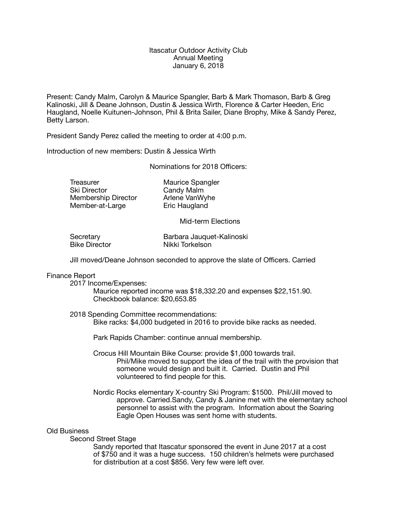## Itascatur Outdoor Activity Club Annual Meeting January 6, 2018

Present: Candy Malm, Carolyn & Maurice Spangler, Barb & Mark Thomason, Barb & Greg Kalinoski, Jill & Deane Johnson, Dustin & Jessica Wirth, Florence & Carter Heeden, Eric Haugland, Noelle Kuitunen-Johnson, Phil & Brita Sailer, Diane Brophy, Mike & Sandy Perez, Betty Larson.

President Sandy Perez called the meeting to order at 4:00 p.m.

Introduction of new members: Dustin & Jessica Wirth

Nominations for 2018 Officers:

Treasurer **Maurice Spangler**<br>
Ski Director **Candy Malm** Membership Director Member-at-Large **Eric Haugland** 

Candy Malm<br>Arlene VanWyhe

Mid-term Elections

Secretary **Barbara Jauquet-Kalinoski**<br>
Bike Director **Mikki Torkelson** Nikki Torkelson

Jill moved/Deane Johnson seconded to approve the slate of Officers. Carried

# Finance Report

2017 Income/Expenses:

 Maurice reported income was \$18,332.20 and expenses \$22,151.90. Checkbook balance: \$20,653.85

2018 Spending Committee recommendations: Bike racks: \$4,000 budgeted in 2016 to provide bike racks as needed.

 Park Rapids Chamber: continue annual membership.

- Crocus Hill Mountain Bike Course: provide \$1,000 towards trail. Phil/Mike moved to support the idea of the trail with the provision that someone would design and built it. Carried. Dustin and Phil volunteered to find people for this.
- Nordic Rocks elementary X-country Ski Program: \$1500. Phil/Jill moved to approve. Carried.Sandy, Candy & Janine met with the elementary school personnel to assist with the program. Information about the Soaring Eagle Open Houses was sent home with students.

### Old Business

Second Street Stage

 Sandy reported that Itascatur sponsored the event in June 2017 at a cost of \$750 and it was a huge success. 150 children's helmets were purchased for distribution at a cost \$856. Very few were left over.